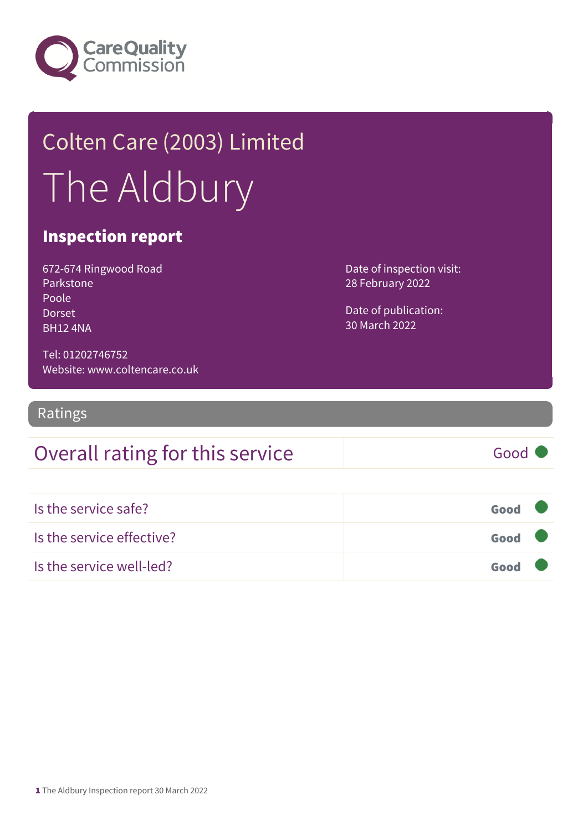

## Colten Care (2003) Limited The Aldbury

#### Inspection report

672-674 Ringwood Road Parkstone Poole Dorset BH12 4NA

Tel: 01202746752 Website: www.coltencare.co.uk Date of inspection visit: 28 February 2022

Date of publication: 30 March 2022

Ratings

### Overall rating for this service Fig. 6000

Is the service safe? Good Is the service effective? Good Is the service well-led? Good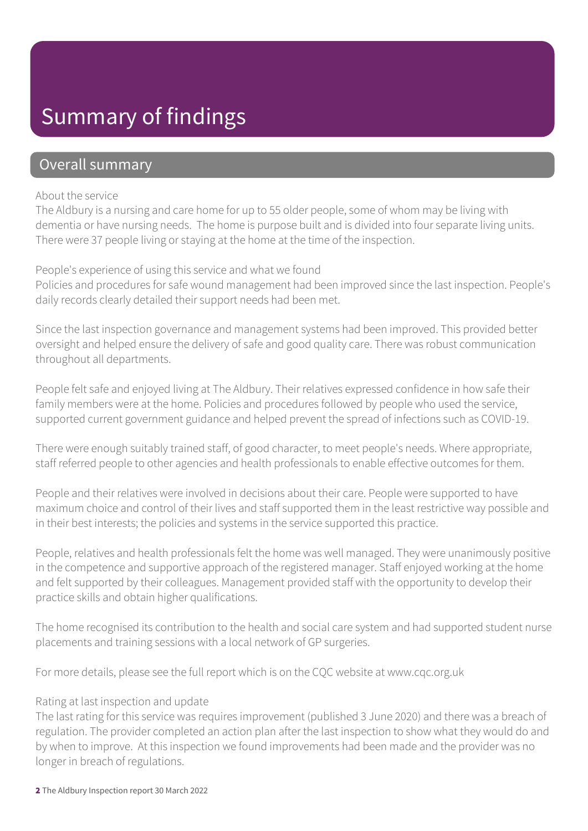## Summary of findings

#### Overall summary

#### About the service

The Aldbury is a nursing and care home for up to 55 older people, some of whom may be living with dementia or have nursing needs. The home is purpose built and is divided into four separate living units. There were 37 people living or staying at the home at the time of the inspection.

#### People's experience of using this service and what we found

Policies and procedures for safe wound management had been improved since the last inspection. People's daily records clearly detailed their support needs had been met.

Since the last inspection governance and management systems had been improved. This provided better oversight and helped ensure the delivery of safe and good quality care. There was robust communication throughout all departments.

People felt safe and enjoyed living at The Aldbury. Their relatives expressed confidence in how safe their family members were at the home. Policies and procedures followed by people who used the service, supported current government guidance and helped prevent the spread of infections such as COVID-19.

There were enough suitably trained staff, of good character, to meet people's needs. Where appropriate, staff referred people to other agencies and health professionals to enable effective outcomes for them.

People and their relatives were involved in decisions about their care. People were supported to have maximum choice and control of their lives and staff supported them in the least restrictive way possible and in their best interests; the policies and systems in the service supported this practice.

People, relatives and health professionals felt the home was well managed. They were unanimously positive in the competence and supportive approach of the registered manager. Staff enjoyed working at the home and felt supported by their colleagues. Management provided staff with the opportunity to develop their practice skills and obtain higher qualifications.

The home recognised its contribution to the health and social care system and had supported student nurse placements and training sessions with a local network of GP surgeries.

For more details, please see the full report which is on the CQC website at www.cqc.org.uk

#### Rating at last inspection and update

The last rating for this service was requires improvement (published 3 June 2020) and there was a breach of regulation. The provider completed an action plan after the last inspection to show what they would do and by when to improve. At this inspection we found improvements had been made and the provider was no longer in breach of regulations.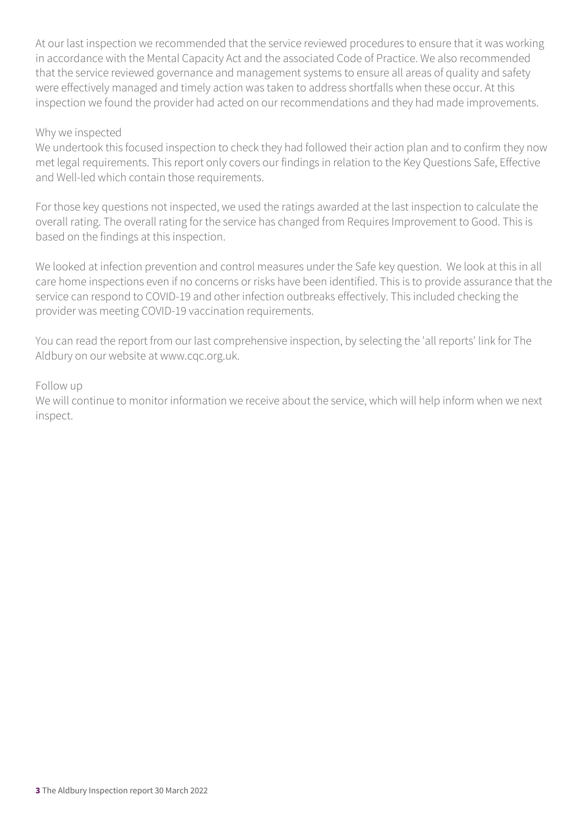At our last inspection we recommended that the service reviewed procedures to ensure that it was working in accordance with the Mental Capacity Act and the associated Code of Practice. We also recommended that the service reviewed governance and management systems to ensure all areas of quality and safety were effectively managed and timely action was taken to address shortfalls when these occur. At this inspection we found the provider had acted on our recommendations and they had made improvements.

#### Why we inspected

We undertook this focused inspection to check they had followed their action plan and to confirm they now met legal requirements. This report only covers our findings in relation to the Key Questions Safe, Effective and Well-led which contain those requirements.

For those key questions not inspected, we used the ratings awarded at the last inspection to calculate the overall rating. The overall rating for the service has changed from Requires Improvement to Good. This is based on the findings at this inspection.

We looked at infection prevention and control measures under the Safe key question. We look at this in all care home inspections even if no concerns or risks have been identified. This is to provide assurance that the service can respond to COVID-19 and other infection outbreaks effectively. This included checking the provider was meeting COVID-19 vaccination requirements.

You can read the report from our last comprehensive inspection, by selecting the 'all reports' link for The Aldbury on our website at www.cqc.org.uk.

#### Follow up

We will continue to monitor information we receive about the service, which will help inform when we next inspect.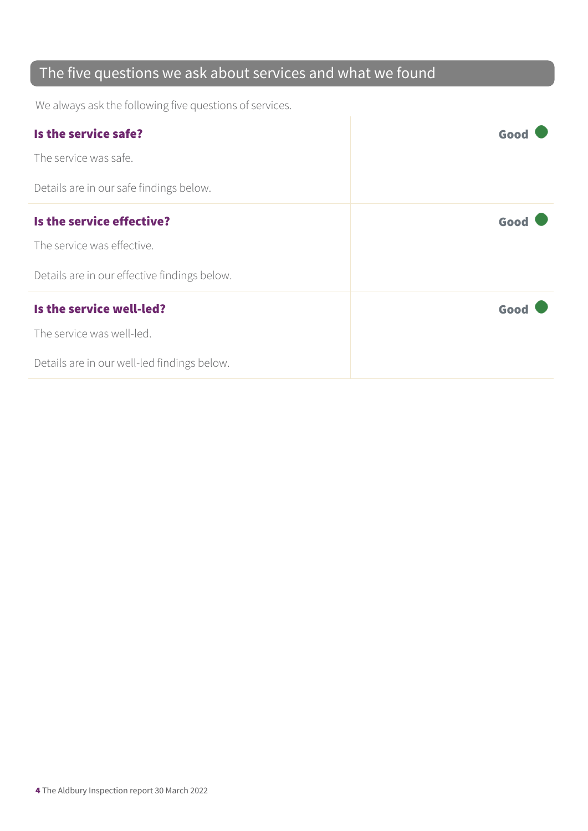## The five questions we ask about services and what we found

We always ask the following five questions of services.

| Is the service safe?                         | Goo  |
|----------------------------------------------|------|
| The service was safe.                        |      |
| Details are in our safe findings below.      |      |
| Is the service effective?                    | Good |
| The service was effective.                   |      |
| Details are in our effective findings below. |      |
| Is the service well-led?                     | Good |
| The service was well-led.                    |      |
| Details are in our well-led findings below.  |      |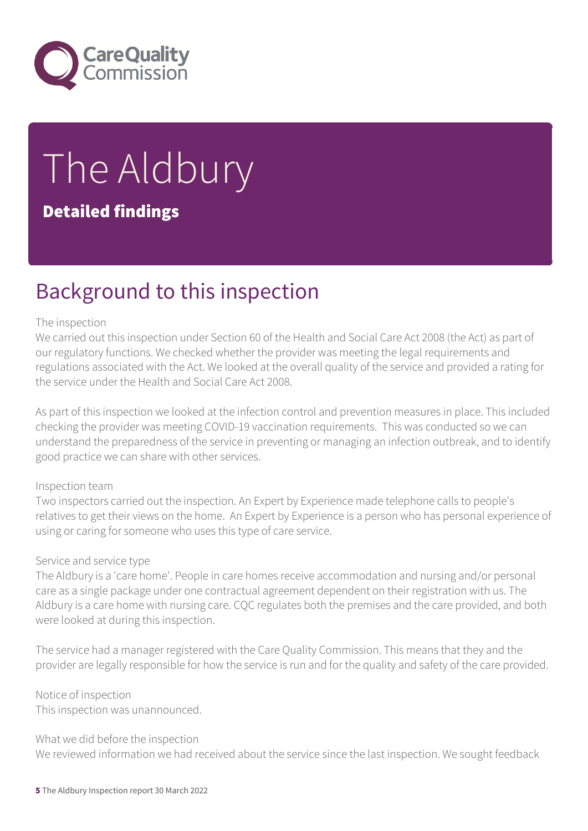

# The Aldbury

#### Detailed findings

## Background to this inspection

#### The inspection

We carried out this inspection under Section 60 of the Health and Social Care Act 2008 (the Act) as part of our regulatory functions. We checked whether the provider was meeting the legal requirements and regulations associated with the Act. We looked at the overall quality of the service and provided a rating for the service under the Health and Social Care Act 2008.

As part of this inspection we looked at the infection control and prevention measures in place. This included checking the provider was meeting COVID-19 vaccination requirements. This was conducted so we can understand the preparedness of the service in preventing or managing an infection outbreak, and to identify good practice we can share with other services.

#### Inspection team

Two inspectors carried out the inspection. An Expert by Experience made telephone calls to people's relatives to get their views on the home. An Expert by Experience is a person who has personal experience of using or caring for someone who uses this type of care service.

#### Service and service type

The Aldbury is a 'care home'. People in care homes receive accommodation and nursing and/or personal care as a single package under one contractual agreement dependent on their registration with us. The Aldbury is a care home with nursing care. CQC regulates both the premises and the care provided, and both were looked at during this inspection.

The service had a manager registered with the Care Quality Commission. This means that they and the provider are legally responsible for how the service is run and for the quality and safety of the care provided.

Notice of inspection This inspection was unannounced.

What we did before the inspection We reviewed information we had received about the service since the last inspection. We sought feedback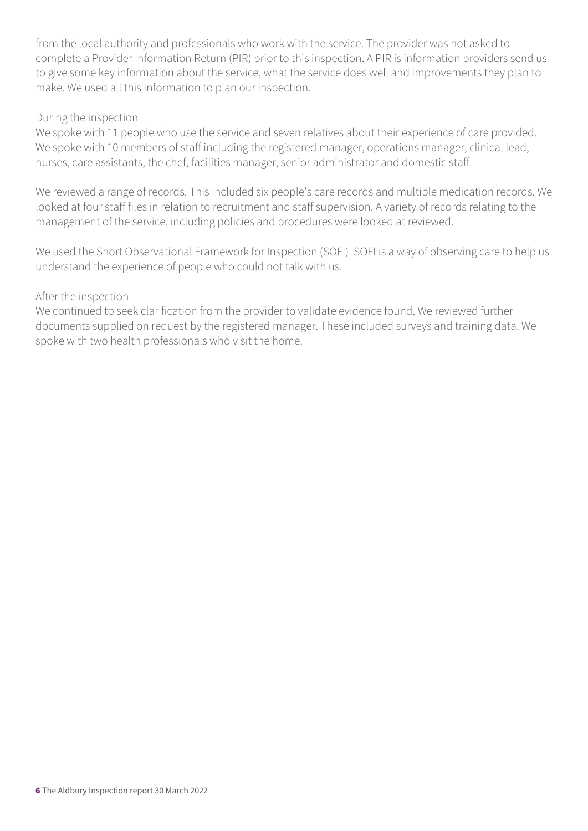from the local authority and professionals who work with the service. The provider was not asked to complete a Provider Information Return (PIR) prior to this inspection. A PIR is information providers send us to give some key information about the service, what the service does well and improvements they plan to make. We used all this information to plan our inspection.

#### During the inspection

We spoke with 11 people who use the service and seven relatives about their experience of care provided. We spoke with 10 members of staff including the registered manager, operations manager, clinical lead, nurses, care assistants, the chef, facilities manager, senior administrator and domestic staff.

We reviewed a range of records. This included six people's care records and multiple medication records. We looked at four staff files in relation to recruitment and staff supervision. A variety of records relating to the management of the service, including policies and procedures were looked at reviewed.

We used the Short Observational Framework for Inspection (SOFI). SOFI is a way of observing care to help us understand the experience of people who could not talk with us.

#### After the inspection

We continued to seek clarification from the provider to validate evidence found. We reviewed further documents supplied on request by the registered manager. These included surveys and training data. We spoke with two health professionals who visit the home.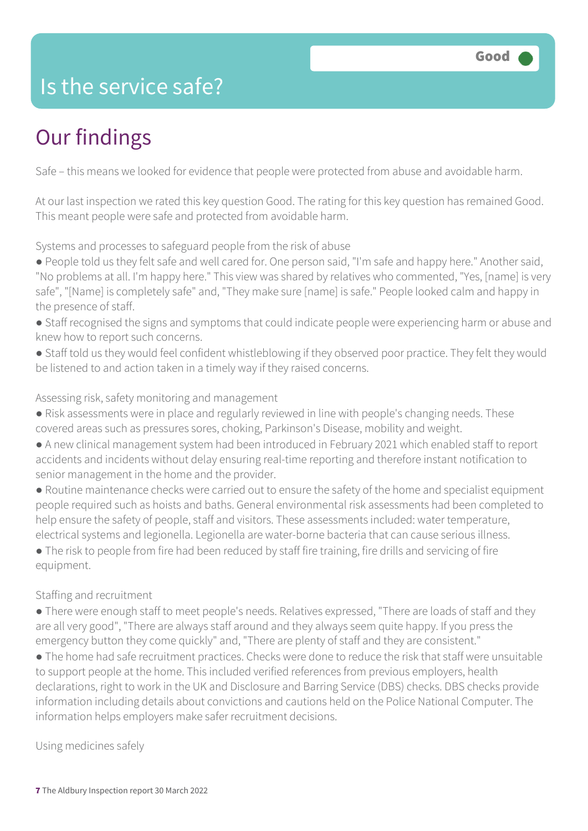## Is the service safe?

## Our findings

Safe – this means we looked for evidence that people were protected from abuse and avoidable harm.

At our last inspection we rated this key question Good. The rating for this key question has remained Good. This meant people were safe and protected from avoidable harm.

Systems and processes to safeguard people from the risk of abuse

- People told us they felt safe and well cared for. One person said, "I'm safe and happy here." Another said, "No problems at all. I'm happy here." This view was shared by relatives who commented, "Yes, [name] is very safe", "[Name] is completely safe" and, "They make sure [name] is safe." People looked calm and happy in the presence of staff.
- Staff recognised the signs and symptoms that could indicate people were experiencing harm or abuse and knew how to report such concerns.
- Staff told us they would feel confident whistleblowing if they observed poor practice. They felt they would be listened to and action taken in a timely way if they raised concerns.

#### Assessing risk, safety monitoring and management

- Risk assessments were in place and regularly reviewed in line with people's changing needs. These covered areas such as pressures sores, choking, Parkinson's Disease, mobility and weight.
- A new clinical management system had been introduced in February 2021 which enabled staff to report accidents and incidents without delay ensuring real-time reporting and therefore instant notification to senior management in the home and the provider.
- Routine maintenance checks were carried out to ensure the safety of the home and specialist equipment people required such as hoists and baths. General environmental risk assessments had been completed to help ensure the safety of people, staff and visitors. These assessments included: water temperature, electrical systems and legionella. Legionella are water-borne bacteria that can cause serious illness.
- The risk to people from fire had been reduced by staff fire training, fire drills and servicing of fire equipment.

#### Staffing and recruitment

- There were enough staff to meet people's needs. Relatives expressed, "There are loads of staff and they are all very good", "There are always staff around and they always seem quite happy. If you press the emergency button they come quickly" and, "There are plenty of staff and they are consistent."
- The home had safe recruitment practices. Checks were done to reduce the risk that staff were unsuitable to support people at the home. This included verified references from previous employers, health declarations, right to work in the UK and Disclosure and Barring Service (DBS) checks. DBS checks provide information including details about convictions and cautions held on the Police National Computer. The information helps employers make safer recruitment decisions.

#### Using medicines safely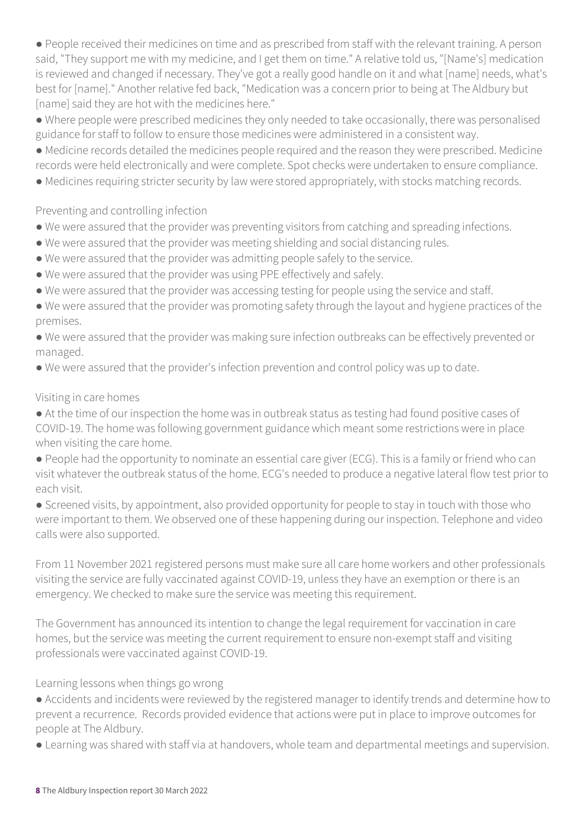● People received their medicines on time and as prescribed from staff with the relevant training. A person said, "They support me with my medicine, and I get them on time." A relative told us, "[Name's] medication is reviewed and changed if necessary. They've got a really good handle on it and what [name] needs, what's best for [name]." Another relative fed back, "Medication was a concern prior to being at The Aldbury but [name] said they are hot with the medicines here."

● Where people were prescribed medicines they only needed to take occasionally, there was personalised guidance for staff to follow to ensure those medicines were administered in a consistent way.

● Medicine records detailed the medicines people required and the reason they were prescribed. Medicine records were held electronically and were complete. Spot checks were undertaken to ensure compliance.

● Medicines requiring stricter security by law were stored appropriately, with stocks matching records.

Preventing and controlling infection

- We were assured that the provider was preventing visitors from catching and spreading infections.
- We were assured that the provider was meeting shielding and social distancing rules.
- We were assured that the provider was admitting people safely to the service.
- We were assured that the provider was using PPE effectively and safely.
- We were assured that the provider was accessing testing for people using the service and staff.
- We were assured that the provider was promoting safety through the layout and hygiene practices of the premises.
- We were assured that the provider was making sure infection outbreaks can be effectively prevented or managed.
- We were assured that the provider's infection prevention and control policy was up to date.

#### Visiting in care homes

● At the time of our inspection the home was in outbreak status as testing had found positive cases of COVID-19. The home was following government guidance which meant some restrictions were in place when visiting the care home.

● People had the opportunity to nominate an essential care giver (ECG). This is a family or friend who can visit whatever the outbreak status of the home. ECG's needed to produce a negative lateral flow test prior to each visit.

● Screened visits, by appointment, also provided opportunity for people to stay in touch with those who were important to them. We observed one of these happening during our inspection. Telephone and video calls were also supported.

From 11 November 2021 registered persons must make sure all care home workers and other professionals visiting the service are fully vaccinated against COVID-19, unless they have an exemption or there is an emergency. We checked to make sure the service was meeting this requirement.

The Government has announced its intention to change the legal requirement for vaccination in care homes, but the service was meeting the current requirement to ensure non-exempt staff and visiting professionals were vaccinated against COVID-19.

Learning lessons when things go wrong

- Accidents and incidents were reviewed by the registered manager to identify trends and determine how to prevent a recurrence. Records provided evidence that actions were put in place to improve outcomes for people at The Aldbury.
- Learning was shared with staff via at handovers, whole team and departmental meetings and supervision.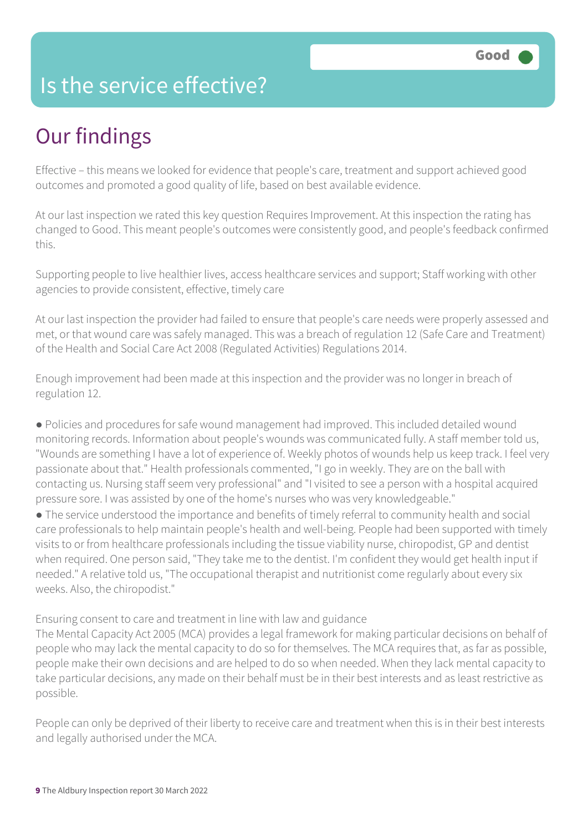## Is the service effective?

## Our findings

Effective – this means we looked for evidence that people's care, treatment and support achieved good outcomes and promoted a good quality of life, based on best available evidence.

At our last inspection we rated this key question Requires Improvement. At this inspection the rating has changed to Good. This meant people's outcomes were consistently good, and people's feedback confirmed this.

Supporting people to live healthier lives, access healthcare services and support; Staff working with other agencies to provide consistent, effective, timely care

At our last inspection the provider had failed to ensure that people's care needs were properly assessed and met, or that wound care was safely managed. This was a breach of regulation 12 (Safe Care and Treatment) of the Health and Social Care Act 2008 (Regulated Activities) Regulations 2014.

Enough improvement had been made at this inspection and the provider was no longer in breach of regulation 12.

● Policies and procedures for safe wound management had improved. This included detailed wound monitoring records. Information about people's wounds was communicated fully. A staff member told us, "Wounds are something I have a lot of experience of. Weekly photos of wounds help us keep track. I feel very passionate about that." Health professionals commented, "I go in weekly. They are on the ball with contacting us. Nursing staff seem very professional" and "I visited to see a person with a hospital acquired pressure sore. I was assisted by one of the home's nurses who was very knowledgeable."

● The service understood the importance and benefits of timely referral to community health and social care professionals to help maintain people's health and well-being. People had been supported with timely visits to or from healthcare professionals including the tissue viability nurse, chiropodist, GP and dentist when required. One person said, "They take me to the dentist. I'm confident they would get health input if needed." A relative told us, "The occupational therapist and nutritionist come regularly about every six weeks. Also, the chiropodist."

Ensuring consent to care and treatment in line with law and guidance

The Mental Capacity Act 2005 (MCA) provides a legal framework for making particular decisions on behalf of people who may lack the mental capacity to do so for themselves. The MCA requires that, as far as possible, people make their own decisions and are helped to do so when needed. When they lack mental capacity to take particular decisions, any made on their behalf must be in their best interests and as least restrictive as possible.

People can only be deprived of their liberty to receive care and treatment when this is in their best interests and legally authorised under the MCA.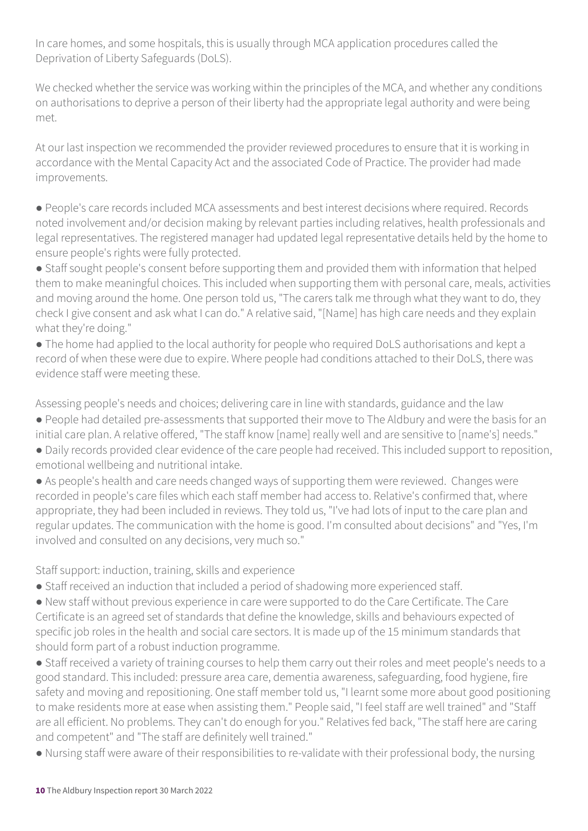In care homes, and some hospitals, this is usually through MCA application procedures called the Deprivation of Liberty Safeguards (DoLS).

We checked whether the service was working within the principles of the MCA, and whether any conditions on authorisations to deprive a person of their liberty had the appropriate legal authority and were being met.

At our last inspection we recommended the provider reviewed procedures to ensure that it is working in accordance with the Mental Capacity Act and the associated Code of Practice. The provider had made improvements.

● People's care records included MCA assessments and best interest decisions where required. Records noted involvement and/or decision making by relevant parties including relatives, health professionals and legal representatives. The registered manager had updated legal representative details held by the home to ensure people's rights were fully protected.

● Staff sought people's consent before supporting them and provided them with information that helped them to make meaningful choices. This included when supporting them with personal care, meals, activities and moving around the home. One person told us, "The carers talk me through what they want to do, they check I give consent and ask what I can do." A relative said, "[Name] has high care needs and they explain what they're doing."

● The home had applied to the local authority for people who required DoLS authorisations and kept a record of when these were due to expire. Where people had conditions attached to their DoLS, there was evidence staff were meeting these.

Assessing people's needs and choices; delivering care in line with standards, guidance and the law

- People had detailed pre-assessments that supported their move to The Aldbury and were the basis for an initial care plan. A relative offered, "The staff know [name] really well and are sensitive to [name's] needs."
- Daily records provided clear evidence of the care people had received. This included support to reposition, emotional wellbeing and nutritional intake.

● As people's health and care needs changed ways of supporting them were reviewed. Changes were recorded in people's care files which each staff member had access to. Relative's confirmed that, where appropriate, they had been included in reviews. They told us, "I've had lots of input to the care plan and regular updates. The communication with the home is good. I'm consulted about decisions" and "Yes, I'm involved and consulted on any decisions, very much so."

Staff support: induction, training, skills and experience

● Staff received an induction that included a period of shadowing more experienced staff.

● New staff without previous experience in care were supported to do the Care Certificate. The Care Certificate is an agreed set of standards that define the knowledge, skills and behaviours expected of specific job roles in the health and social care sectors. It is made up of the 15 minimum standards that should form part of a robust induction programme.

● Staff received a variety of training courses to help them carry out their roles and meet people's needs to a good standard. This included: pressure area care, dementia awareness, safeguarding, food hygiene, fire safety and moving and repositioning. One staff member told us, "I learnt some more about good positioning to make residents more at ease when assisting them." People said, "I feel staff are well trained" and "Staff are all efficient. No problems. They can't do enough for you." Relatives fed back, "The staff here are caring and competent" and "The staff are definitely well trained."

● Nursing staff were aware of their responsibilities to re-validate with their professional body, the nursing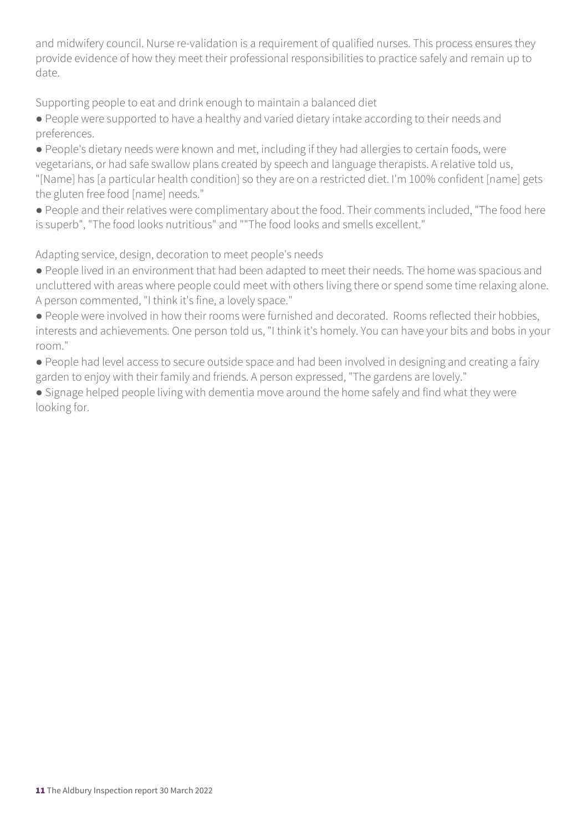and midwifery council. Nurse re-validation is a requirement of qualified nurses. This process ensures they provide evidence of how they meet their professional responsibilities to practice safely and remain up to date.

Supporting people to eat and drink enough to maintain a balanced diet

● People were supported to have a healthy and varied dietary intake according to their needs and preferences.

● People's dietary needs were known and met, including if they had allergies to certain foods, were vegetarians, or had safe swallow plans created by speech and language therapists. A relative told us, "[Name] has [a particular health condition] so they are on a restricted diet. I'm 100% confident [name] gets the gluten free food [name] needs."

● People and their relatives were complimentary about the food. Their comments included, "The food here is superb", "The food looks nutritious" and ""The food looks and smells excellent."

Adapting service, design, decoration to meet people's needs

● People lived in an environment that had been adapted to meet their needs. The home was spacious and uncluttered with areas where people could meet with others living there or spend some time relaxing alone. A person commented, "I think it's fine, a lovely space."

● People were involved in how their rooms were furnished and decorated. Rooms reflected their hobbies, interests and achievements. One person told us, "I think it's homely. You can have your bits and bobs in your room."

● People had level access to secure outside space and had been involved in designing and creating a fairy garden to enjoy with their family and friends. A person expressed, "The gardens are lovely."

● Signage helped people living with dementia move around the home safely and find what they were looking for.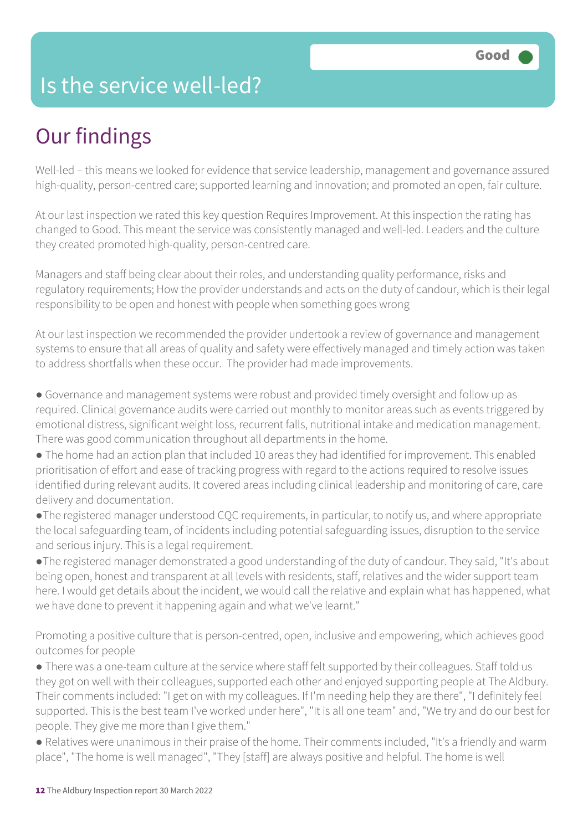## Is the service well-led?

## Our findings

Well-led – this means we looked for evidence that service leadership, management and governance assured high-quality, person-centred care; supported learning and innovation; and promoted an open, fair culture.

At our last inspection we rated this key question Requires Improvement. At this inspection the rating has changed to Good. This meant the service was consistently managed and well-led. Leaders and the culture they created promoted high-quality, person-centred care.

Managers and staff being clear about their roles, and understanding quality performance, risks and regulatory requirements; How the provider understands and acts on the duty of candour, which is their legal responsibility to be open and honest with people when something goes wrong

At our last inspection we recommended the provider undertook a review of governance and management systems to ensure that all areas of quality and safety were effectively managed and timely action was taken to address shortfalls when these occur. The provider had made improvements.

● Governance and management systems were robust and provided timely oversight and follow up as required. Clinical governance audits were carried out monthly to monitor areas such as events triggered by emotional distress, significant weight loss, recurrent falls, nutritional intake and medication management. There was good communication throughout all departments in the home.

● The home had an action plan that included 10 areas they had identified for improvement. This enabled prioritisation of effort and ease of tracking progress with regard to the actions required to resolve issues identified during relevant audits. It covered areas including clinical leadership and monitoring of care, care delivery and documentation.

●The registered manager understood CQC requirements, in particular, to notify us, and where appropriate the local safeguarding team, of incidents including potential safeguarding issues, disruption to the service and serious injury. This is a legal requirement.

●The registered manager demonstrated a good understanding of the duty of candour. They said, "It's about being open, honest and transparent at all levels with residents, staff, relatives and the wider support team here. I would get details about the incident, we would call the relative and explain what has happened, what we have done to prevent it happening again and what we've learnt."

Promoting a positive culture that is person-centred, open, inclusive and empowering, which achieves good outcomes for people

● There was a one-team culture at the service where staff felt supported by their colleagues. Staff told us they got on well with their colleagues, supported each other and enjoyed supporting people at The Aldbury. Their comments included: "I get on with my colleagues. If I'm needing help they are there", "I definitely feel supported. This is the best team I've worked under here", "It is all one team" and, "We try and do our best for people. They give me more than I give them."

● Relatives were unanimous in their praise of the home. Their comments included, "It's a friendly and warm place", "The home is well managed", "They [staff] are always positive and helpful. The home is well